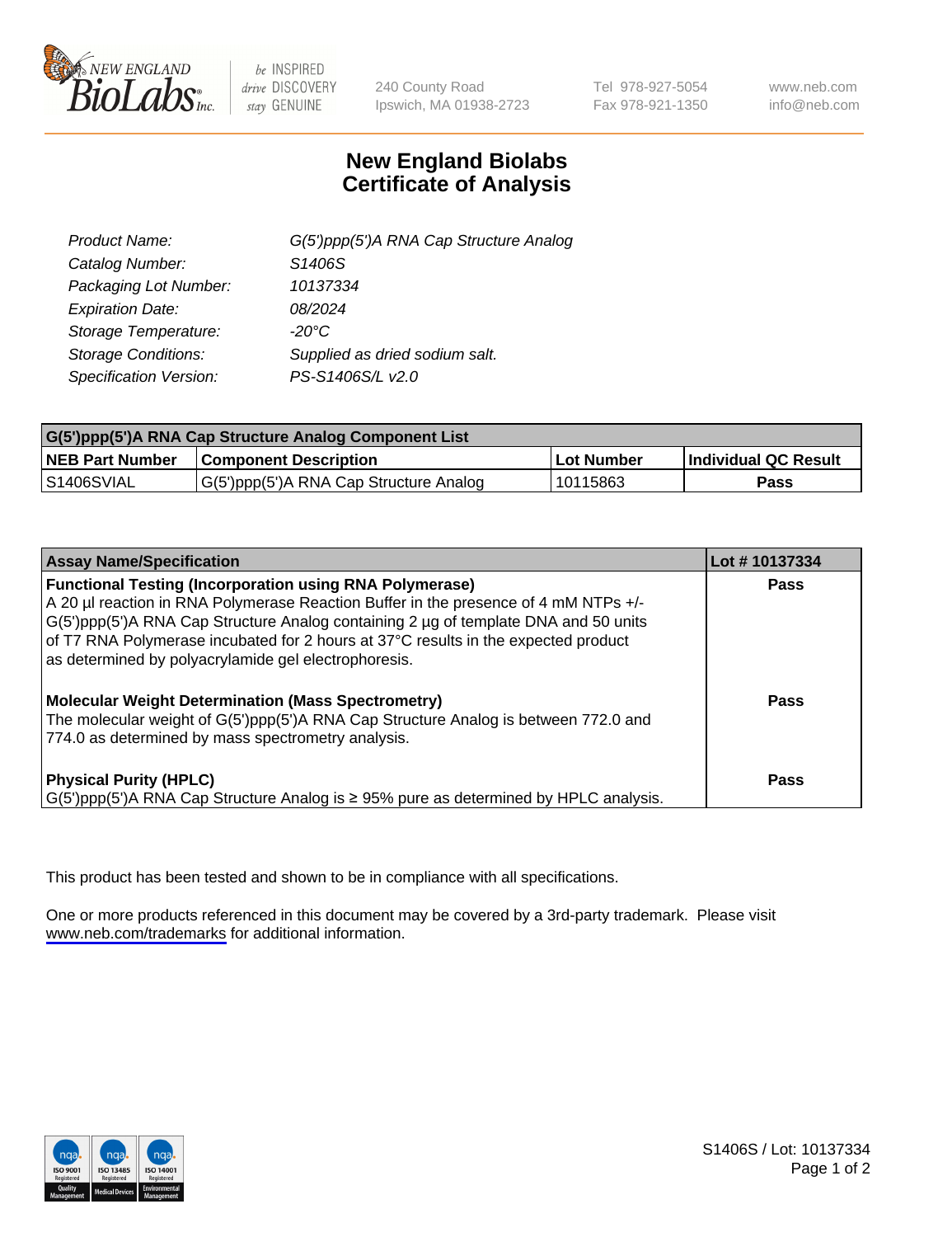

be INSPIRED drive DISCOVERY stay GENUINE

240 County Road Ipswich, MA 01938-2723 Tel 978-927-5054 Fax 978-921-1350

www.neb.com info@neb.com

## **New England Biolabs Certificate of Analysis**

| G(5')ppp(5')A RNA Cap Structure Analog |
|----------------------------------------|
| S1406S                                 |
| 10137334                               |
| 08/2024                                |
| $-20^{\circ}$ C                        |
| Supplied as dried sodium salt.         |
| PS-S1406S/L v2.0                       |
|                                        |

| G(5')ppp(5')A RNA Cap Structure Analog Component List |                                        |              |                             |  |
|-------------------------------------------------------|----------------------------------------|--------------|-----------------------------|--|
| <b>NEB Part Number</b>                                | <b>Component Description</b>           | . Lot Number | <b>Individual QC Result</b> |  |
| S1406SVIAL                                            | G(5')ppp(5')A RNA Cap Structure Analog | 10115863     | Pass                        |  |

| <b>Assay Name/Specification</b>                                                                                                                                                                                                                                                                                                                                                            | Lot #10137334 |
|--------------------------------------------------------------------------------------------------------------------------------------------------------------------------------------------------------------------------------------------------------------------------------------------------------------------------------------------------------------------------------------------|---------------|
| <b>Functional Testing (Incorporation using RNA Polymerase)</b><br>A 20 µl reaction in RNA Polymerase Reaction Buffer in the presence of 4 mM NTPs +/-<br>G(5')ppp(5')A RNA Cap Structure Analog containing 2 µg of template DNA and 50 units<br>of T7 RNA Polymerase incubated for 2 hours at 37°C results in the expected product<br>as determined by polyacrylamide gel electrophoresis. | Pass          |
| <b>Molecular Weight Determination (Mass Spectrometry)</b><br>The molecular weight of G(5')ppp(5')A RNA Cap Structure Analog is between 772.0 and<br>774.0 as determined by mass spectrometry analysis.                                                                                                                                                                                     | Pass          |
| <b>Physical Purity (HPLC)</b><br>$\vert G(5)$ ppp(5')A RNA Cap Structure Analog is $\geq 95\%$ pure as determined by HPLC analysis.                                                                                                                                                                                                                                                        | Pass          |

This product has been tested and shown to be in compliance with all specifications.

One or more products referenced in this document may be covered by a 3rd-party trademark. Please visit <www.neb.com/trademarks>for additional information.



S1406S / Lot: 10137334 Page 1 of 2